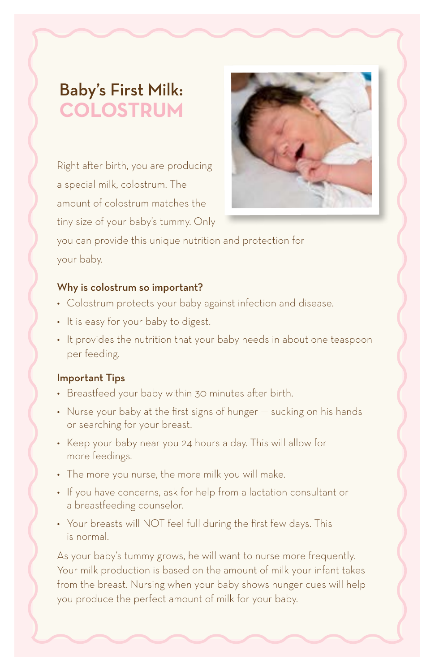## Baby's First Milk: **COLOSTRUM**

Right after birth, you are producing a special milk, colostrum. The amount of colostrum matches the tiny size of your baby's tummy. Only



you can provide this unique nutrition and protection for your baby.

## Why is colostrum so important?

- Colostrum protects your baby against infection and disease.
- It is easy for your baby to digest.
- It provides the nutrition that your baby needs in about one teaspoon per feeding.

## Important Tips

- Breastfeed your baby within 30 minutes after birth.
- Nurse your baby at the first signs of hunger sucking on his hands or searching for your breast.
- Keep your baby near you 24 hours a day. This will allow for more feedings.
- The more you nurse, the more milk you will make.
- If you have concerns, ask for help from a lactation consultant or a breastfeeding counselor.
- Your breasts will NOT feel full during the first few days. This is normal.

As your baby's tummy grows, he will want to nurse more frequently. Your milk production is based on the amount of milk your infant takes from the breast. Nursing when your baby shows hunger cues will help you produce the perfect amount of milk for your baby.